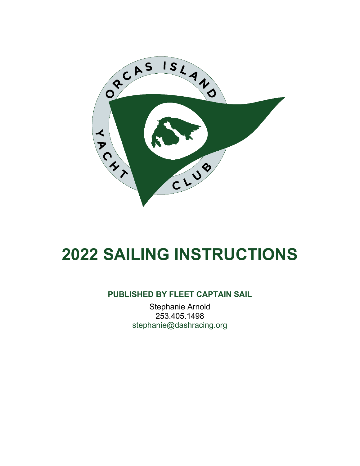

# **2022 SAILING INSTRUCTIONS**

#### **PUBLISHED BY FLEET CAPTAIN SAIL**

Stephanie Arnold 253.405.1498 [stephanie@dashracing.org](mailto:stephanie@dashracing.org)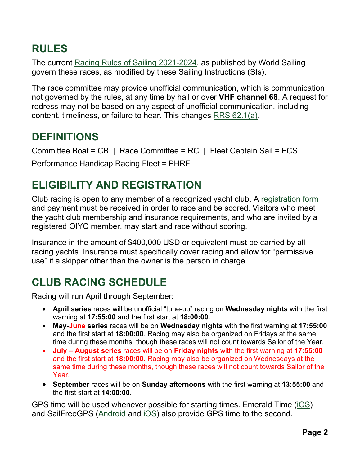# **RULES**

The current Racing Rules of Sailing [2021-2024,](http://www.sailing.org/documents/racingrules/) as published by World Sailing govern these races, as modified by these Sailing Instructions (SIs).

The race committee may provide unofficial communication, which is communication not governed by the rules, at any time by hail or over **VHF channel 68**. A request for redress may not be based on any aspect of unofficial communication, including content, timeliness, or failure to hear. This changes RRS [62.1\(a\).](https://www.racingrulesofsailing.org/rules?part_id=38)

## **DEFINITIONS**

Committee Boat = CB | Race Committee = RC | Fleet Captain Sail = FCS Performance Handicap Racing Fleet = PHRF

# **ELIGIBILITY AND REGISTRATION**

Club racing is open to any member of a recognized yacht club. A [registration](https://oiyc.org/Common/registration/2021SeasonReg.php) form and payment must be received in order to race and be scored. Visitors who meet the yacht club membership and insurance requirements, and who are invited by a registered OIYC member, may start and race without scoring.

Insurance in the amount of \$400,000 USD or equivalent must be carried by all racing yachts. Insurance must specifically cover racing and allow for "permissive use" if a skipper other than the owner is the person in charge.

# **CLUB RACING SCHEDULE**

Racing will run April through September:

- **April series** races will be unofficial "tune-up" racing on **Wednesday nights** with the first warning at **17:55:00** and the first start at **18:00:00**.
- **May-June series** races will be on **Wednesday nights** with the first warning at **17:55:00** and the first start at **18:00:00**. Racing may also be organized on Fridays at the same time during these months, though these races will not count towards Sailor of the Year.
- **July August series** races will be on **Friday nights** with the first warning at **17:55:00** and the first start at **18:00:00**. Racing may also be organized on Wednesdays at the same time during these months, though these races will not count towards Sailor of the Year.
- **September** races will be on **Sunday afternoons** with the first warning at **13:55:00** and the first start at **14:00:00**.

GPS time will be used whenever possible for starting times. Emerald Time [\(iOS\)](https://apps.apple.com/us/app/emerald-time/id290384375) and SailFreeGPS [\(Android](https://play.google.com/store/apps/details?id=com.frederic.sailfreegps) and [iOS\)](https://apps.apple.com/us/app/sailfreegps/id1552752200) also provide GPS time to the second.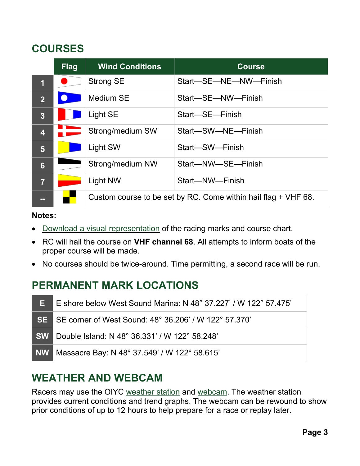# <span id="page-2-0"></span>**COURSES**

|                         | Flag                  | <b>Wind Conditions</b>                                         | <b>Course</b>         |
|-------------------------|-----------------------|----------------------------------------------------------------|-----------------------|
| $\overline{\mathbf{1}}$ |                       | <b>Strong SE</b>                                               | Start-SE-NE-NW-Finish |
| $\overline{2}$          | $\boldsymbol{\nabla}$ | Medium SE                                                      | Start-SE-NW-Finish    |
| 3                       |                       | Light SE                                                       | Start-SE-Finish       |
| $\overline{\mathbf{4}}$ |                       | Strong/medium SW                                               | Start-SW-NE-Finish    |
| 5                       |                       | Light SW                                                       | Start-SW-Finish       |
| $6\phantom{1}$          |                       | Strong/medium NW                                               | Start-NW-SE-Finish    |
| $\overline{7}$          |                       | Light NW                                                       | Start-NW-Finish       |
| --                      |                       | Custom course to be set by RC. Come within hail flag + VHF 68. |                       |

#### **Notes:**

- [Download a visual](https://oiyc.org/Sailing/race_book/race_book_2021/2021%20West%20Sound%20Race%20Courses.pdf) representation of the racing marks and course chart.
- RC will hail the course on **VHF channel 68**. All attempts to inform boats of the proper course will be made.
- No courses should be twice-around. Time permitting, a second race will be run.

# **PERMANENT MARK LOCATIONS**

| E. | E shore below West Sound Marina: N 48° 37.227' / W 122° 57.475' |
|----|-----------------------------------------------------------------|
|    | SE SE corner of West Sound: 48° 36.206' / W 122° 57.370'        |
|    | <b>SW</b> Double Island: N 48° 36.331' / W 122° 58.248'         |
|    | NW Massacre Bay: N 48° 37.549' / W 122° 58.615'                 |

## <span id="page-2-1"></span>**WEATHER AND WEBCAM**

Racers may use the OIYC [weather](https://www.rainwise.net/weather/OIYC) station and [webcam.](https://camstreamer.com/redirect/aef9d01e1e407fa/S-31009) The weather station provides current conditions and trend graphs. The webcam can be rewound to show prior conditions of up to 12 hours to help prepare for a race or replay later.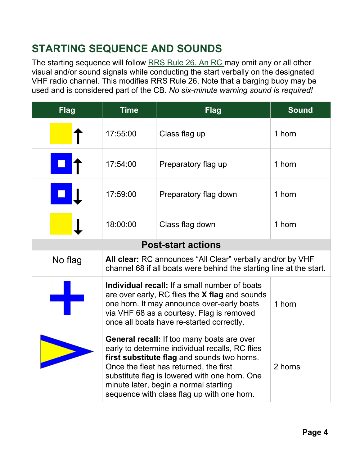# **STARTING SEQUENCE AND SOUNDS**

The starting sequence will follow [RRS](https://www.racingrulesofsailing.org/rules?part_id=46) Rule 26. An RC may omit any or all other visual and/or sound signals while conducting the start verbally on the designated VHF radio channel. This modifies RRS Rule 26. Note that a barging buoy may be used and is considered part of the CB. *No six-minute warning sound is required!* 

| <b>Flag</b>               | <b>Time</b>                                                                                                                                                                                                                                                                                                                           | <b>Flag</b>           | <b>Sound</b> |  |  |  |
|---------------------------|---------------------------------------------------------------------------------------------------------------------------------------------------------------------------------------------------------------------------------------------------------------------------------------------------------------------------------------|-----------------------|--------------|--|--|--|
|                           | 17:55:00                                                                                                                                                                                                                                                                                                                              | Class flag up         | 1 horn       |  |  |  |
|                           | 17:54:00                                                                                                                                                                                                                                                                                                                              | Preparatory flag up   | 1 horn       |  |  |  |
|                           | 17:59:00                                                                                                                                                                                                                                                                                                                              | Preparatory flag down | 1 horn       |  |  |  |
|                           | 18:00:00                                                                                                                                                                                                                                                                                                                              | Class flag down       | 1 horn       |  |  |  |
| <b>Post-start actions</b> |                                                                                                                                                                                                                                                                                                                                       |                       |              |  |  |  |
| No flag                   | All clear: RC announces "All Clear" verbally and/or by VHF<br>channel 68 if all boats were behind the starting line at the start.                                                                                                                                                                                                     |                       |              |  |  |  |
|                           | Individual recall: If a small number of boats<br>are over early, RC flies the X flag and sounds<br>one horn. It may announce over-early boats<br>1 horn<br>via VHF 68 as a courtesy. Flag is removed<br>once all boats have re-started correctly.                                                                                     |                       |              |  |  |  |
|                           | <b>General recall:</b> If too many boats are over<br>early to determine individual recalls, RC flies<br>first substitute flag and sounds two horns.<br>Once the fleet has returned, the first<br>substitute flag is lowered with one horn. One<br>minute later, begin a normal starting<br>sequence with class flag up with one horn. | 2 horns               |              |  |  |  |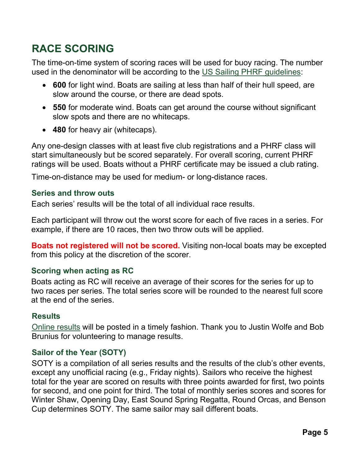# **RACE SCORING**

The time-on-time system of scoring races will be used for buoy racing. The number used in the denominator will be according to the US Sailing PHRF [guidelines:](https://www.ussailing.org/competition/offshore/phrf/)

- **600** for light wind. Boats are sailing at less than half of their hull speed, are slow around the course, or there are dead spots.
- **550** for moderate wind. Boats can get around the course without significant slow spots and there are no whitecaps.
- **480** for heavy air (whitecaps).

Any one-design classes with at least five club registrations and a PHRF class will start simultaneously but be scored separately. For overall scoring, current PHRF ratings will be used. Boats without a PHRF certificate may be issued a club rating.

Time-on-distance may be used for medium- or long-distance races.

#### **Series and throw outs**

Each series' results will be the total of all individual race results.

Each participant will throw out the worst score for each of five races in a series. For example, if there are 10 races, then two throw outs will be applied.

**Boats not registered will not be scored.** Visiting non-local boats may be excepted from this policy at the discretion of the scorer.

#### **Scoring when acting as RC**

Boats acting as RC will receive an average of their scores for the series for up to two races per series. The total series score will be rounded to the nearest full score at the end of the series.

#### **Results**

[Online results](https://oiyc.org/Sailing/oiyc_club_racing_results.php) will be posted in a timely fashion. Thank you to Justin Wolfe and Bob Brunius for volunteering to manage results.

#### **Sailor of the Year (SOTY)**

SOTY is a compilation of all series results and the results of the club's other events, except any unofficial racing (e.g., Friday nights). Sailors who receive the highest total for the year are scored on results with three points awarded for first, two points for second, and one point for third. The total of monthly series scores and scores for Winter Shaw, Opening Day, East Sound Spring Regatta, Round Orcas, and Benson Cup determines SOTY. The same sailor may sail different boats.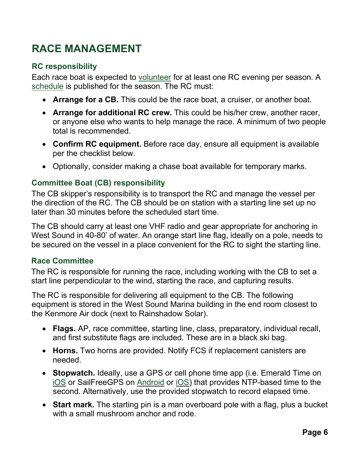# **RACE MANAGEMENT**

#### **RC responsibility**

Each race boat is expected to [volunteer](https://docs.google.com/spreadsheets/d/1bCDZ9BPSqUCJVO86_PQR34AeA2kbN6b2LZOkV5IfLCs/edit#gid=340319852) for at least one RC evening per season. A [schedule](https://docs.google.com/spreadsheets/d/1bCDZ9BPSqUCJVO86_PQR34AeA2kbN6b2LZOkV5IfLCs/edit#gid=340319852) is published for the season. The RC must:

- **Arrange for a CB.** This could be the race boat, a cruiser, or another boat.
- **Arrange for additional RC crew.** This could be his/her crew, another racer, or anyone else who wants to help manage the race. A minimum of two people total is recommended.
- **Confirm RC equipment.** Before race day, ensure all equipment is available per the checklist below.
- Optionally, consider making a chase boat available for temporary marks.

#### **Committee Boat (CB) responsibility**

The CB skipper's responsibility is to transport the RC and manage the vessel per the direction of the RC. The CB should be on station with a starting line set up no later than 30 minutes before the scheduled start time.

The CB should carry at least one VHF radio and gear appropriate for anchoring in West Sound in 40-80' of water. An orange start line flag, ideally on a pole, needs to be secured on the vessel in a place convenient for the RC to sight the starting line.

#### **Race Committee**

The RC is responsible for running the race, including working with the CB to set a start line perpendicular to the wind, starting the race, and capturing results.

The RC is responsible for delivering all equipment to the CB. The following equipment is stored in the West Sound Marina building in the end room closest to the Kenmore Air dock (next to Rainshadow Solar).

- **Flags.** AP, race committee, starting line, class, preparatory, individual recall, and first substitute flags are included. These are in a black ski bag.
- **Horns.** Two horns are provided. Notify FCS if replacement canisters are needed.
- **Stopwatch.** Ideally, use a GPS or cell phone time app (i.e. Emerald Time on [iOS](https://apps.apple.com/us/app/emerald-time/id290384375) or SailFreeGPS on [Android](https://play.google.com/store/apps/details?id=com.frederic.sailfreegps) or [iOS\)](https://apps.apple.com/us/app/sailfreegps/id1552752200) that provides NTP-based time to the second. Alternatively, use the provided stopwatch to record elapsed time.
- **Start mark.** The starting pin is a man overboard pole with a flag, plus a bucket with a small mushroom anchor and rode.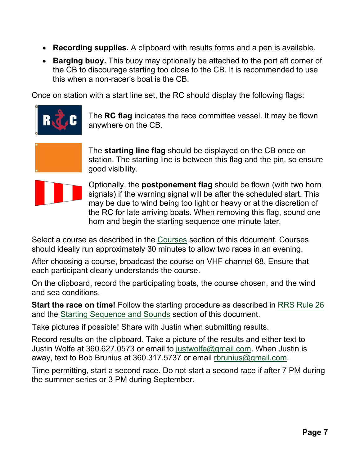- **Recording supplies.** A clipboard with results forms and a pen is available.
- **Barging buoy.** This buoy may optionally be attached to the port aft corner of the CB to discourage starting too close to the CB. It is recommended to use this when a non-racer's boat is the CB.

Once on station with a start line set, the RC should display the following flags:



The **RC flag** indicates the race committee vessel. It may be flown anywhere on the CB.



The **starting line flag** should be displayed on the CB once on station. The starting line is between this flag and the pin, so ensure good visibility.



Optionally, the **postponement flag** should be flown (with two horn signals) if the warning signal will be after the scheduled start. This may be due to wind being too light or heavy or at the discretion of the RC for late arriving boats. When removing this flag, sound one horn and begin the starting sequence one minute later.

Select a course as described in the [Courses](#page-2-0) section of this document. Courses should ideally run approximately 30 minutes to allow two races in an evening.

After choosing a course, broadcast the course on VHF channel 68. Ensure that each participant clearly understands the course.

On the clipboard, record the participating boats, the course chosen, and the wind and sea conditions.

**Start the race on time!** Follow the starting procedure as described in [RRS](https://www.racingrulesofsailing.org/rules?part_id=46) Rule 26 and the Starting [Sequence](#page-2-1) and Sounds section of this document.

Take pictures if possible! Share with Justin when submitting results.

Record results on the clipboard. Take a picture of the results and either text to Justin Wolfe at 360.627.0573 or email to [justwolfe@gmail.com.](mailto:justwolfe@gmail.com) When Justin is away, text to Bob Brunius at 360.317.5737 or email [rbrunius@gmail.com.](mailto:rbrunius@gmail.com)

Time permitting, start a second race. Do not start a second race if after 7 PM during the summer series or 3 PM during September.